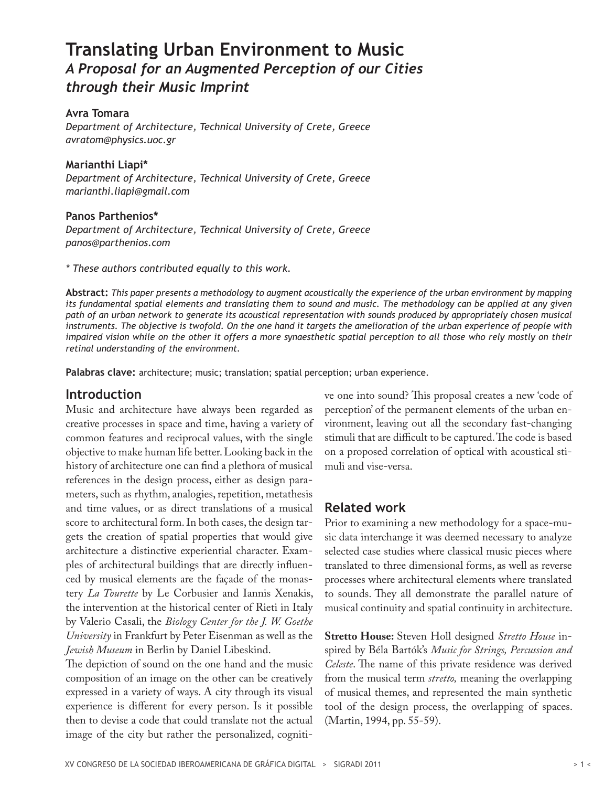# **Translating Urban Environment to Music** *A Proposal for an Augmented Perception of our Cities through their Music Imprint*

**Avra Tomara** *Department of Architecture, Technical University of Crete, Greece avratom@physics.uoc.gr*

**Marianthi Liapi\*** *Department of Architecture, Technical University of Crete, Greece marianthi.liapi@gmail.com*

**Panos Parthenios\*** *Department of Architecture, Technical University of Crete, Greece panos@parthenios.com*

*\* These authors contributed equally to this work.*

**Abstract:** *This paper presents a methodology to augment acoustically the experience of the urban environment by mapping its fundamental spatial elements and translating them to sound and music. The methodology can be applied at any given path of an urban network to generate its acoustical representation with sounds produced by appropriately chosen musical instruments. The objective is twofold. On the one hand it targets the amelioration of the urban experience of people with impaired vision while on the other it offers a more synaesthetic spatial perception to all those who rely mostly on their retinal understanding of the environment.*

**Palabras clave:** architecture; music; translation; spatial perception; urban experience.

### **Introduction**

Music and architecture have always been regarded as creative processes in space and time, having a variety of common features and reciprocal values, with the single objective to make human life better. Looking back in the history of architecture one can find a plethora of musical references in the design process, either as design parameters, such as rhythm, analogies, repetition, metathesis and time values, or as direct translations of a musical score to architectural form. In both cases, the design targets the creation of spatial properties that would give architecture a distinctive experiential character. Examples of architectural buildings that are directly influenced by musical elements are the façade of the monastery *La Tourette* by Le Corbusier and Iannis Xenakis, the intervention at the historical center of Rieti in Italy by Valerio Casali, the *Biology Center for the J. W. Goethe University* in Frankfurt by Peter Eisenman as well as the *Jewish Museum* in Berlin by Daniel Libeskind.

The depiction of sound on the one hand and the music composition of an image on the other can be creatively expressed in a variety of ways. A city through its visual experience is different for every person. Is it possible then to devise a code that could translate not the actual image of the city but rather the personalized, cognitive one into sound? This proposal creates a new 'code of perception' of the permanent elements of the urban environment, leaving out all the secondary fast-changing stimuli that are difficult to be captured. The code is based on a proposed correlation of optical with acoustical stimuli and vise-versa.

# **Related work**

Prior to examining a new methodology for a space-music data interchange it was deemed necessary to analyze selected case studies where classical music pieces where translated to three dimensional forms, as well as reverse processes where architectural elements where translated to sounds. They all demonstrate the parallel nature of musical continuity and spatial continuity in architecture.

**Stretto House:** Steven Holl designed *Stretto House* inspired by Béla Bartók's *Music for Strings, Percussion and Celeste*. The name of this private residence was derived from the musical term *stretto,* meaning the overlapping of musical themes, and represented the main synthetic tool of the design process, the overlapping of spaces. (Martin, 1994, pp. 55-59).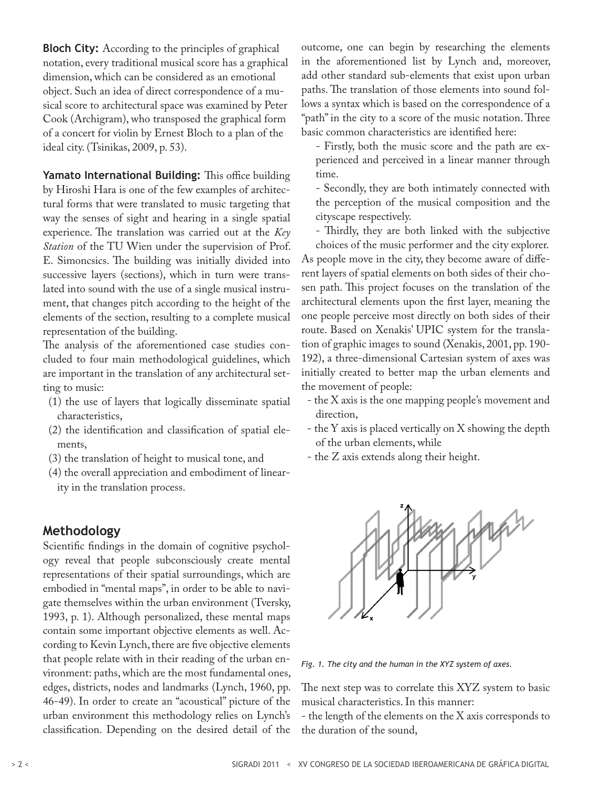**Bloch City:** According to the principles of graphical notation, every traditional musical score has a graphical dimension, which can be considered as an emotional object. Such an idea of direct correspondence of a musical score to architectural space was examined by Peter Cook (Archigram), who transposed the graphical form of a concert for violin by Ernest Bloch to a plan of the ideal city. (Tsinikas, 2009, p. 53).

**Yamato International Building:** This office building by Hiroshi Hara is one of the few examples of architectural forms that were translated to music targeting that way the senses of sight and hearing in a single spatial experience. The translation was carried out at the *Key Station* of the TU Wien under the supervision of Prof. E. Simoncsics. The building was initially divided into successive layers (sections), which in turn were translated into sound with the use of a single musical instrument, that changes pitch according to the height of the elements of the section, resulting to a complete musical representation of the building.

The analysis of the aforementioned case studies concluded to four main methodological guidelines, which are important in the translation of any architectural setting to music:

- (1) the use of layers that logically disseminate spatial characteristics,
- (2) the identification and classification of spatial elements,
- (3) the translation of height to musical tone, and
- (4) the overall appreciation and embodiment of linearity in the translation process.

#### **Methodology**

Scientific findings in the domain of cognitive psychology reveal that people subconsciously create mental representations of their spatial surroundings, which are embodied in "mental maps", in order to be able to navigate themselves within the urban environment (Tversky, 1993, p. 1). Although personalized, these mental maps contain some important objective elements as well. According to Kevin Lynch, there are five objective elements that people relate with in their reading of the urban environment: paths, which are the most fundamental ones, edges, districts, nodes and landmarks (Lynch, 1960, pp. 46-49). In order to create an "acoustical" picture of the urban environment this methodology relies on Lynch's classification. Depending on the desired detail of the

outcome, one can begin by researching the elements in the aforementioned list by Lynch and, moreover, add other standard sub-elements that exist upon urban paths. The translation of those elements into sound follows a syntax which is based on the correspondence of a "path" in the city to a score of the music notation. Three basic common characteristics are identified here:

- Firstly, both the music score and the path are experienced and perceived in a linear manner through time.

- Secondly, they are both intimately connected with the perception of the musical composition and the cityscape respectively.

- Thirdly, they are both linked with the subjective choices of the music performer and the city explorer. As people move in the city, they become aware of different layers of spatial elements on both sides of their chosen path. This project focuses on the translation of the architectural elements upon the first layer, meaning the one people perceive most directly on both sides of their route. Based on Xenakis' UPIC system for the translation of graphic images to sound (Xenakis, 2001, pp. 190- 192), a three-dimensional Cartesian system of axes was initially created to better map the urban elements and the movement of people:

- the X axis is the one mapping people's movement and direction,
- the Y axis is placed vertically on X showing the depth of the urban elements, while
- the Z axis extends along their height.



*Fig. 1. The city and the human in the XYZ system of axes.* 

The next step was to correlate this XYZ system to basic musical characteristics. In this manner:

- the length of the elements on the X axis corresponds to the duration of the sound,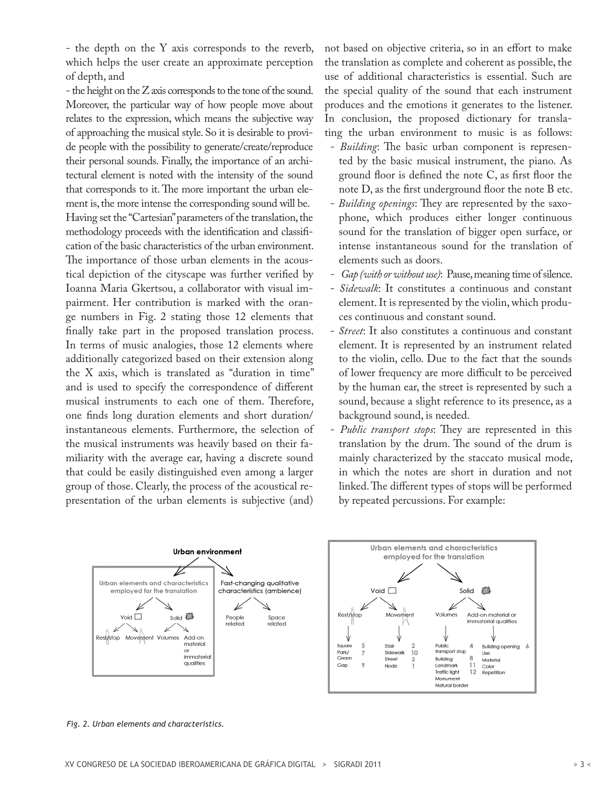- the depth on the Y axis corresponds to the reverb, which helps the user create an approximate perception of depth, and

- the height on the Z axis corresponds to the tone of the sound. Moreover, the particular way of how people move about relates to the expression, which means the subjective way of approaching the musical style. So it is desirable to provide people with the possibility to generate/create/reproduce their personal sounds. Finally, the importance of an architectural element is noted with the intensity of the sound that corresponds to it. The more important the urban element is, the more intense the corresponding sound will be. Having set the "Cartesian" parameters of the translation, the methodology proceeds with the identification and classification of the basic characteristics of the urban environment. The importance of those urban elements in the acoustical depiction of the cityscape was further verified by Ioanna Maria Gkertsou, a collaborator with visual impairment. Her contribution is marked with the orange numbers in Fig. 2 stating those 12 elements that finally take part in the proposed translation process. In terms of music analogies, those 12 elements where additionally categorized based on their extension along the X axis, which is translated as "duration in time" and is used to specify the correspondence of different musical instruments to each one of them. Therefore, one finds long duration elements and short duration/ instantaneous elements. Furthermore, the selection of the musical instruments was heavily based on their familiarity with the average ear, having a discrete sound that could be easily distinguished even among a larger group of those. Clearly, the process of the acoustical representation of the urban elements is subjective (and)

not based on objective criteria, so in an effort to make the translation as complete and coherent as possible, the use of additional characteristics is essential. Such are the special quality of the sound that each instrument produces and the emotions it generates to the listener. In conclusion, the proposed dictionary for translating the urban environment to music is as follows:

- *Building*: The basic urban component is represented by the basic musical instrument, the piano. As ground floor is defined the note C, as first floor the note D, as the first underground floor the note B etc.
- *Building openings*: They are represented by the saxophone, which produces either longer continuous sound for the translation of bigger open surface, or intense instantaneous sound for the translation of elements such as doors.
- *Gap (with or without use)*: Pause, meaning time of silence.
- *Sidewalk*: It constitutes a continuous and constant element. It is represented by the violin, which produces continuous and constant sound.
- *Street*: It also constitutes a continuous and constant element. It is represented by an instrument related to the violin, cello. Due to the fact that the sounds of lower frequency are more difficult to be perceived by the human ear, the street is represented by such a sound, because a slight reference to its presence, as a background sound, is needed.
- *Public transport stops*: They are represented in this translation by the drum. The sound of the drum is mainly characterized by the staccato musical mode, in which the notes are short in duration and not linked. The different types of stops will be performed by repeated percussions. For example:



*Fig. 2. Urban elements and characteristics.*